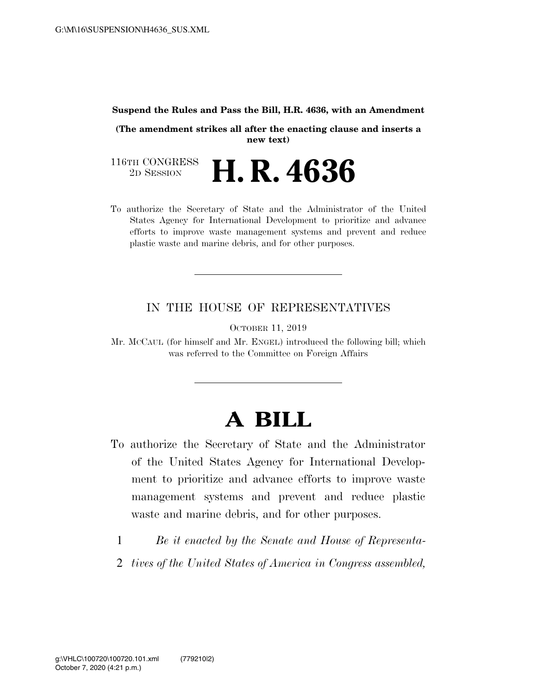#### **Suspend the Rules and Pass the Bill, H.R. 4636, with an Amendment**

**(The amendment strikes all after the enacting clause and inserts a new text)** 

116TH CONGRESS<br>2D SESSION 2D SESSION **H. R. 4636** 

To authorize the Secretary of State and the Administrator of the United States Agency for International Development to prioritize and advance efforts to improve waste management systems and prevent and reduce plastic waste and marine debris, and for other purposes.

# IN THE HOUSE OF REPRESENTATIVES

OCTOBER 11, 2019

Mr. MCCAUL (for himself and Mr. ENGEL) introduced the following bill; which was referred to the Committee on Foreign Affairs

# **A BILL**

- To authorize the Secretary of State and the Administrator of the United States Agency for International Development to prioritize and advance efforts to improve waste management systems and prevent and reduce plastic waste and marine debris, and for other purposes.
	- 1 *Be it enacted by the Senate and House of Representa-*
	- 2 *tives of the United States of America in Congress assembled,*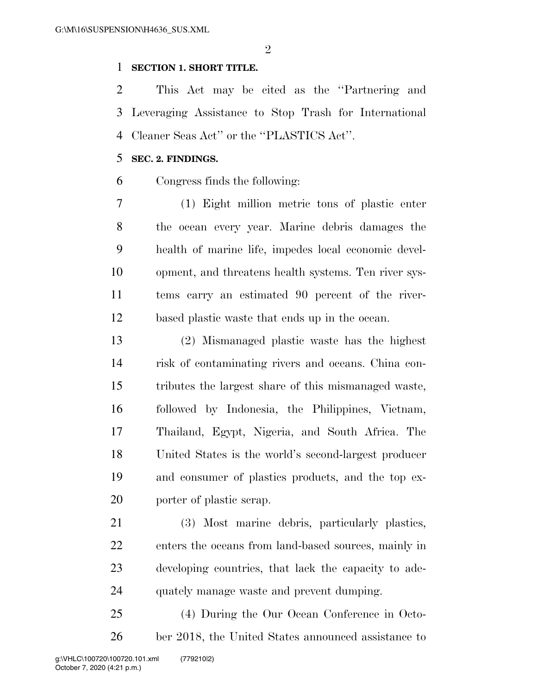$\mathfrak{D}$ 

# **SECTION 1. SHORT TITLE.**

 This Act may be cited as the ''Partnering and Leveraging Assistance to Stop Trash for International Cleaner Seas Act'' or the ''PLASTICS Act''.

# **SEC. 2. FINDINGS.**

Congress finds the following:

 (1) Eight million metric tons of plastic enter the ocean every year. Marine debris damages the health of marine life, impedes local economic devel- opment, and threatens health systems. Ten river sys- tems carry an estimated 90 percent of the river-based plastic waste that ends up in the ocean.

 (2) Mismanaged plastic waste has the highest risk of contaminating rivers and oceans. China con- tributes the largest share of this mismanaged waste, followed by Indonesia, the Philippines, Vietnam, Thailand, Egypt, Nigeria, and South Africa. The United States is the world's second-largest producer and consumer of plastics products, and the top ex-porter of plastic scrap.

 (3) Most marine debris, particularly plastics, enters the oceans from land-based sources, mainly in developing countries, that lack the capacity to ade-quately manage waste and prevent dumping.

 (4) During the Our Ocean Conference in Octo-ber 2018, the United States announced assistance to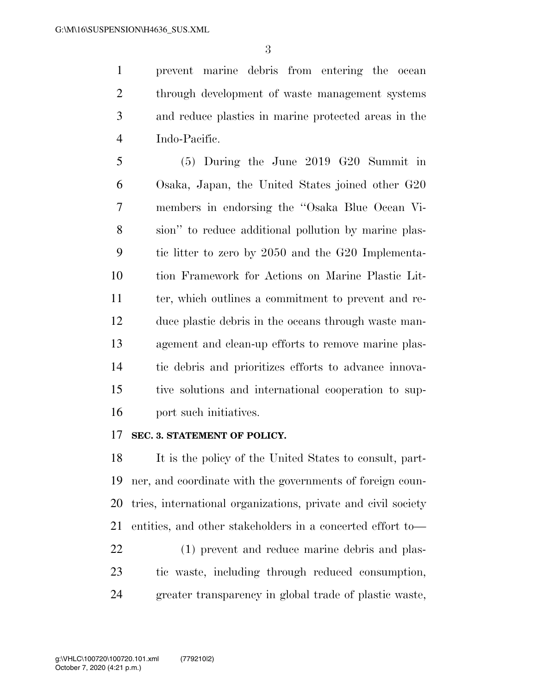prevent marine debris from entering the ocean 2 through development of waste management systems and reduce plastics in marine protected areas in the Indo-Pacific.

 (5) During the June 2019 G20 Summit in Osaka, Japan, the United States joined other G20 members in endorsing the ''Osaka Blue Ocean Vi- sion'' to reduce additional pollution by marine plas- tic litter to zero by 2050 and the G20 Implementa- tion Framework for Actions on Marine Plastic Lit-11 ter, which outlines a commitment to prevent and re- duce plastic debris in the oceans through waste man- agement and clean-up efforts to remove marine plas- tic debris and prioritizes efforts to advance innova- tive solutions and international cooperation to sup-port such initiatives.

# **SEC. 3. STATEMENT OF POLICY.**

 It is the policy of the United States to consult, part- ner, and coordinate with the governments of foreign coun- tries, international organizations, private and civil society entities, and other stakeholders in a concerted effort to—

 (1) prevent and reduce marine debris and plas- tic waste, including through reduced consumption, greater transparency in global trade of plastic waste,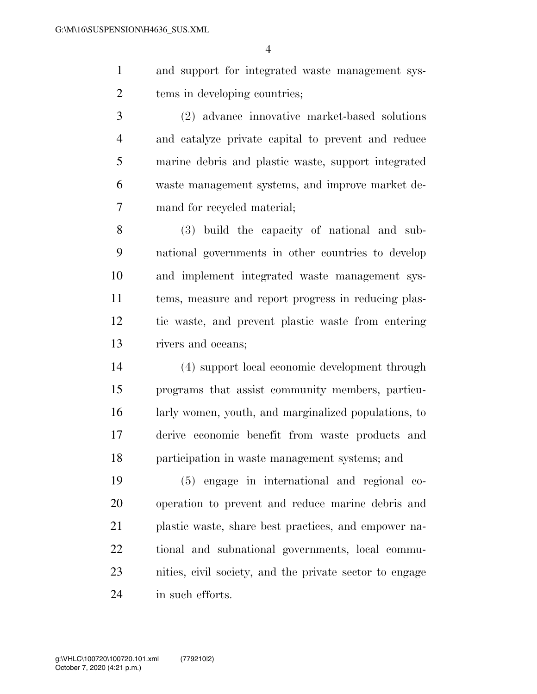- and support for integrated waste management sys-tems in developing countries;
- (2) advance innovative market-based solutions and catalyze private capital to prevent and reduce marine debris and plastic waste, support integrated waste management systems, and improve market de-mand for recycled material;
- (3) build the capacity of national and sub- national governments in other countries to develop and implement integrated waste management sys- tems, measure and report progress in reducing plas- tic waste, and prevent plastic waste from entering rivers and oceans;
- (4) support local economic development through programs that assist community members, particu- larly women, youth, and marginalized populations, to derive economic benefit from waste products and participation in waste management systems; and
- (5) engage in international and regional co- operation to prevent and reduce marine debris and plastic waste, share best practices, and empower na- tional and subnational governments, local commu- nities, civil society, and the private sector to engage in such efforts.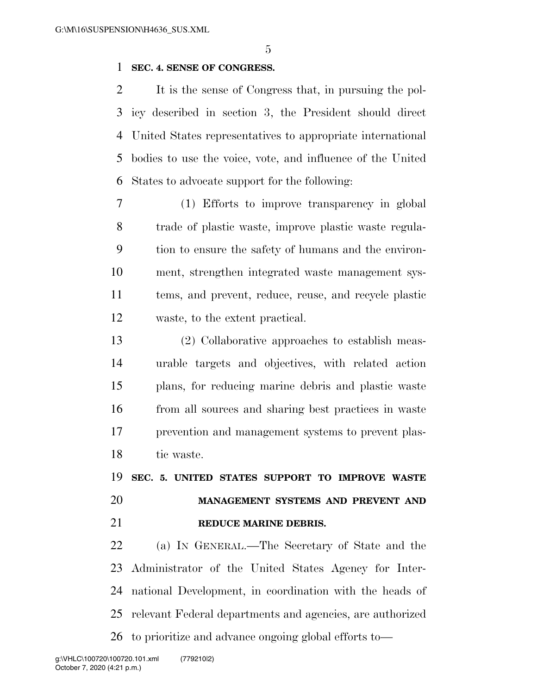# **SEC. 4. SENSE OF CONGRESS.**

 It is the sense of Congress that, in pursuing the pol- icy described in section 3, the President should direct United States representatives to appropriate international bodies to use the voice, vote, and influence of the United States to advocate support for the following:

 (1) Efforts to improve transparency in global trade of plastic waste, improve plastic waste regula- tion to ensure the safety of humans and the environ- ment, strengthen integrated waste management sys- tems, and prevent, reduce, reuse, and recycle plastic waste, to the extent practical.

 (2) Collaborative approaches to establish meas- urable targets and objectives, with related action plans, for reducing marine debris and plastic waste from all sources and sharing best practices in waste prevention and management systems to prevent plas-tic waste.

 **SEC. 5. UNITED STATES SUPPORT TO IMPROVE WASTE MANAGEMENT SYSTEMS AND PREVENT AND REDUCE MARINE DEBRIS.** 

 (a) IN GENERAL.—The Secretary of State and the Administrator of the United States Agency for Inter- national Development, in coordination with the heads of relevant Federal departments and agencies, are authorized to prioritize and advance ongoing global efforts to—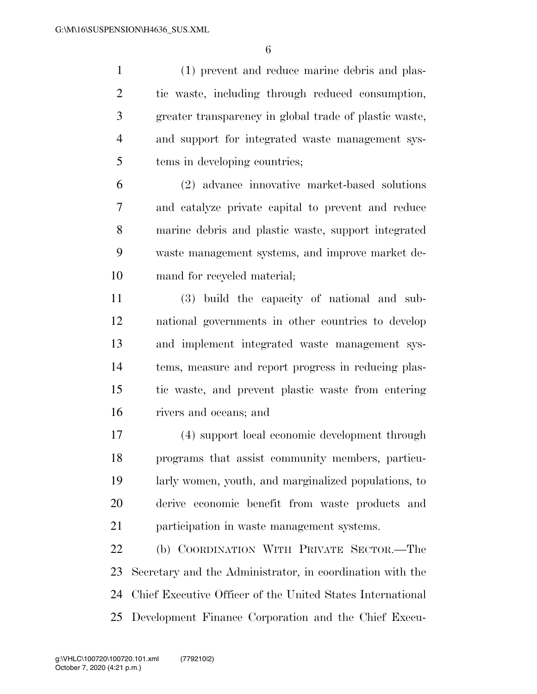(1) prevent and reduce marine debris and plas- tic waste, including through reduced consumption, greater transparency in global trade of plastic waste, and support for integrated waste management sys-tems in developing countries;

 (2) advance innovative market-based solutions and catalyze private capital to prevent and reduce marine debris and plastic waste, support integrated waste management systems, and improve market de-mand for recycled material;

 (3) build the capacity of national and sub- national governments in other countries to develop and implement integrated waste management sys- tems, measure and report progress in reducing plas- tic waste, and prevent plastic waste from entering rivers and oceans; and

 (4) support local economic development through programs that assist community members, particu- larly women, youth, and marginalized populations, to derive economic benefit from waste products and participation in waste management systems.

 (b) COORDINATION WITH PRIVATE SECTOR.—The Secretary and the Administrator, in coordination with the Chief Executive Officer of the United States International Development Finance Corporation and the Chief Execu-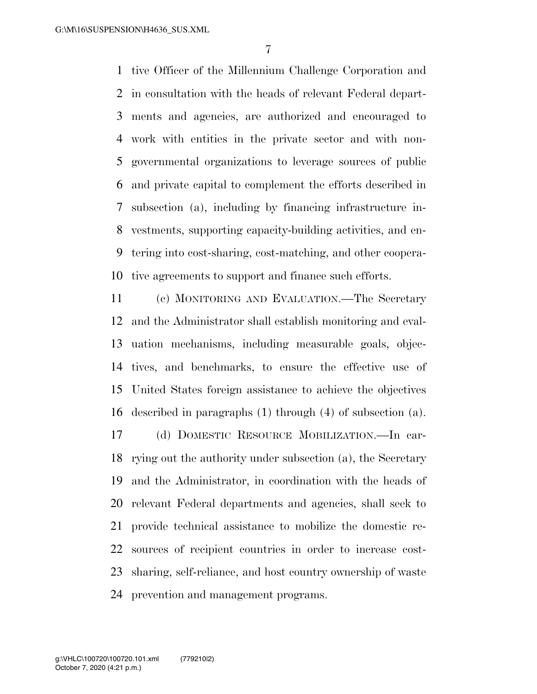tive Officer of the Millennium Challenge Corporation and in consultation with the heads of relevant Federal depart- ments and agencies, are authorized and encouraged to work with entities in the private sector and with non- governmental organizations to leverage sources of public and private capital to complement the efforts described in subsection (a), including by financing infrastructure in- vestments, supporting capacity-building activities, and en- tering into cost-sharing, cost-matching, and other coopera-tive agreements to support and finance such efforts.

 (c) MONITORING AND EVALUATION.—The Secretary and the Administrator shall establish monitoring and eval- uation mechanisms, including measurable goals, objec- tives, and benchmarks, to ensure the effective use of United States foreign assistance to achieve the objectives described in paragraphs (1) through (4) of subsection (a). (d) DOMESTIC RESOURCE MOBILIZATION.—In car- rying out the authority under subsection (a), the Secretary and the Administrator, in coordination with the heads of relevant Federal departments and agencies, shall seek to provide technical assistance to mobilize the domestic re- sources of recipient countries in order to increase cost- sharing, self-reliance, and host country ownership of waste prevention and management programs.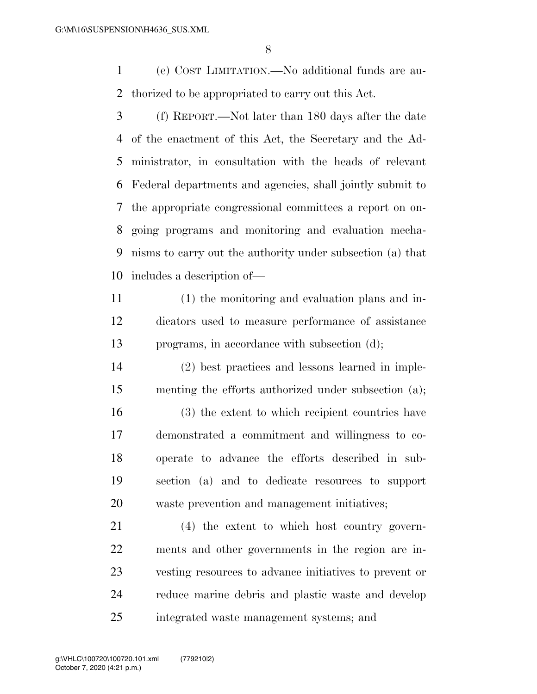(e) COST LIMITATION.—No additional funds are au-thorized to be appropriated to carry out this Act.

- (f) REPORT.—Not later than 180 days after the date of the enactment of this Act, the Secretary and the Ad- ministrator, in consultation with the heads of relevant Federal departments and agencies, shall jointly submit to the appropriate congressional committees a report on on- going programs and monitoring and evaluation mecha- nisms to carry out the authority under subsection (a) that includes a description of—
- (1) the monitoring and evaluation plans and in- dicators used to measure performance of assistance programs, in accordance with subsection (d);
- (2) best practices and lessons learned in imple-menting the efforts authorized under subsection (a);
- (3) the extent to which recipient countries have demonstrated a commitment and willingness to co- operate to advance the efforts described in sub- section (a) and to dedicate resources to support waste prevention and management initiatives;

 (4) the extent to which host country govern- ments and other governments in the region are in- vesting resources to advance initiatives to prevent or reduce marine debris and plastic waste and develop integrated waste management systems; and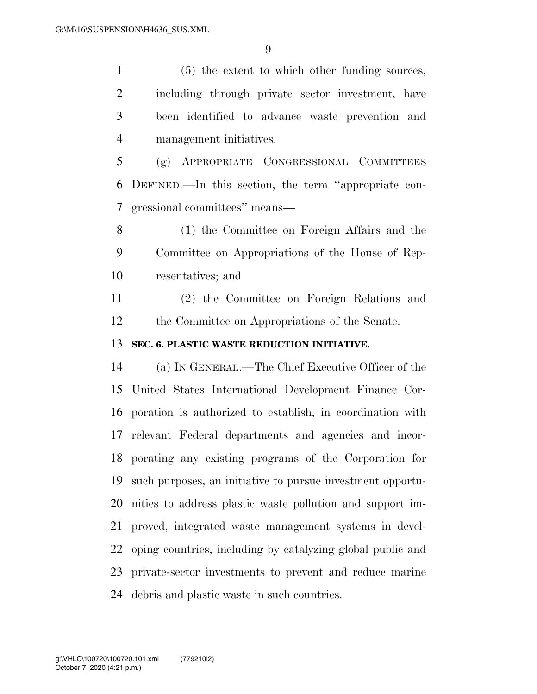(5) the extent to which other funding sources, including through private sector investment, have been identified to advance waste prevention and management initiatives.

 (g) APPROPRIATE CONGRESSIONAL COMMITTEES DEFINED.—In this section, the term ''appropriate con-gressional committees'' means—

 (1) the Committee on Foreign Affairs and the Committee on Appropriations of the House of Rep-resentatives; and

 (2) the Committee on Foreign Relations and the Committee on Appropriations of the Senate.

# **SEC. 6. PLASTIC WASTE REDUCTION INITIATIVE.**

 (a) IN GENERAL.—The Chief Executive Officer of the United States International Development Finance Cor- poration is authorized to establish, in coordination with relevant Federal departments and agencies and incor- porating any existing programs of the Corporation for such purposes, an initiative to pursue investment opportu- nities to address plastic waste pollution and support im- proved, integrated waste management systems in devel- oping countries, including by catalyzing global public and private-sector investments to prevent and reduce marine debris and plastic waste in such countries.